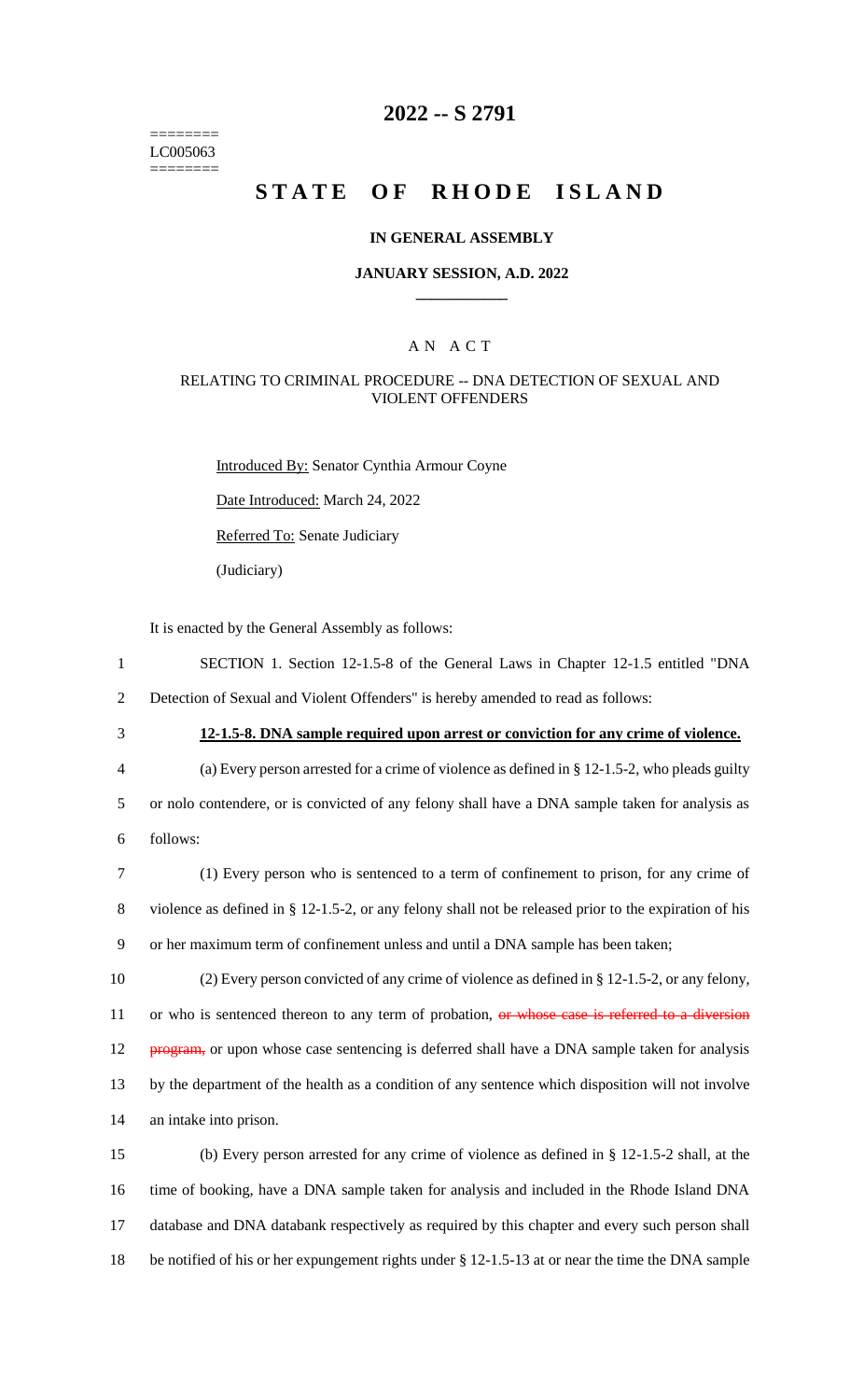======== LC005063 ========

# **2022 -- S 2791**

# **STATE OF RHODE ISLAND**

#### **IN GENERAL ASSEMBLY**

### **JANUARY SESSION, A.D. 2022 \_\_\_\_\_\_\_\_\_\_\_\_**

### A N A C T

### RELATING TO CRIMINAL PROCEDURE -- DNA DETECTION OF SEXUAL AND VIOLENT OFFENDERS

Introduced By: Senator Cynthia Armour Coyne Date Introduced: March 24, 2022 Referred To: Senate Judiciary (Judiciary)

It is enacted by the General Assembly as follows:

- 1 SECTION 1. Section 12-1.5-8 of the General Laws in Chapter 12-1.5 entitled "DNA
- 2 Detection of Sexual and Violent Offenders" is hereby amended to read as follows:
- 

3 **12-1.5-8. DNA sample required upon arrest or conviction for any crime of violence.**

- 4 (a) Every person arrested for a crime of violence as defined in § 12-1.5-2, who pleads guilty 5 or nolo contendere, or is convicted of any felony shall have a DNA sample taken for analysis as 6 follows:
- 7 (1) Every person who is sentenced to a term of confinement to prison, for any crime of 8 violence as defined in § 12-1.5-2, or any felony shall not be released prior to the expiration of his 9 or her maximum term of confinement unless and until a DNA sample has been taken;
- 10 (2) Every person convicted of any crime of violence as defined in § 12-1.5-2, or any felony, 11 or who is sentenced thereon to any term of probation, or whose case is referred to a diversion 12 program, or upon whose case sentencing is deferred shall have a DNA sample taken for analysis 13 by the department of the health as a condition of any sentence which disposition will not involve 14 an intake into prison.
- 15 (b) Every person arrested for any crime of violence as defined in § 12-1.5-2 shall, at the 16 time of booking, have a DNA sample taken for analysis and included in the Rhode Island DNA 17 database and DNA databank respectively as required by this chapter and every such person shall 18 be notified of his or her expungement rights under § 12-1.5-13 at or near the time the DNA sample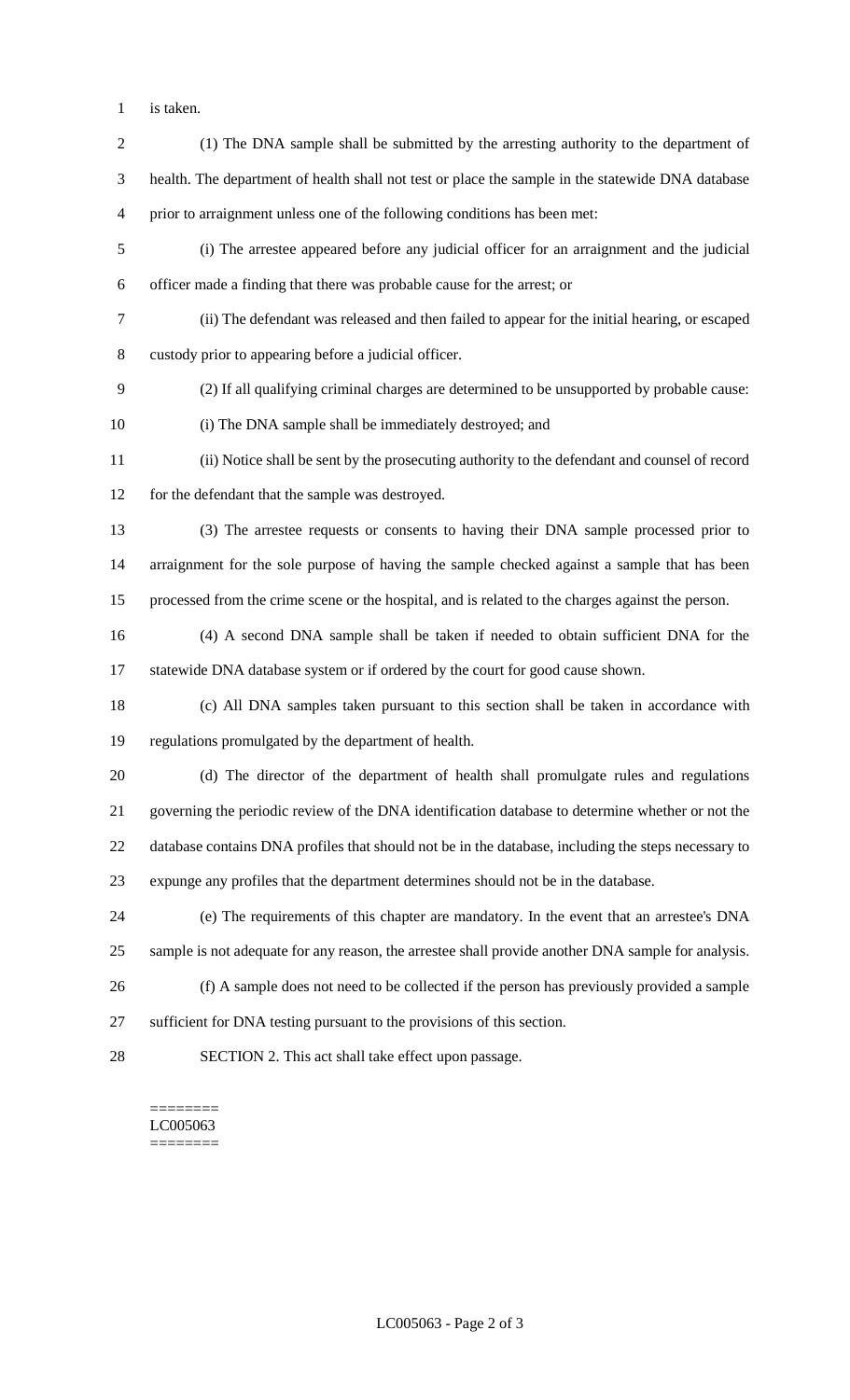is taken.

 (1) The DNA sample shall be submitted by the arresting authority to the department of health. The department of health shall not test or place the sample in the statewide DNA database prior to arraignment unless one of the following conditions has been met: (i) The arrestee appeared before any judicial officer for an arraignment and the judicial officer made a finding that there was probable cause for the arrest; or (ii) The defendant was released and then failed to appear for the initial hearing, or escaped custody prior to appearing before a judicial officer. (2) If all qualifying criminal charges are determined to be unsupported by probable cause: (i) The DNA sample shall be immediately destroyed; and (ii) Notice shall be sent by the prosecuting authority to the defendant and counsel of record for the defendant that the sample was destroyed. (3) The arrestee requests or consents to having their DNA sample processed prior to arraignment for the sole purpose of having the sample checked against a sample that has been processed from the crime scene or the hospital, and is related to the charges against the person.

 (4) A second DNA sample shall be taken if needed to obtain sufficient DNA for the statewide DNA database system or if ordered by the court for good cause shown.

 (c) All DNA samples taken pursuant to this section shall be taken in accordance with regulations promulgated by the department of health.

 (d) The director of the department of health shall promulgate rules and regulations governing the periodic review of the DNA identification database to determine whether or not the database contains DNA profiles that should not be in the database, including the steps necessary to expunge any profiles that the department determines should not be in the database.

 (e) The requirements of this chapter are mandatory. In the event that an arrestee's DNA sample is not adequate for any reason, the arrestee shall provide another DNA sample for analysis.

 (f) A sample does not need to be collected if the person has previously provided a sample sufficient for DNA testing pursuant to the provisions of this section.

SECTION 2. This act shall take effect upon passage.

#### ======== LC005063 ========